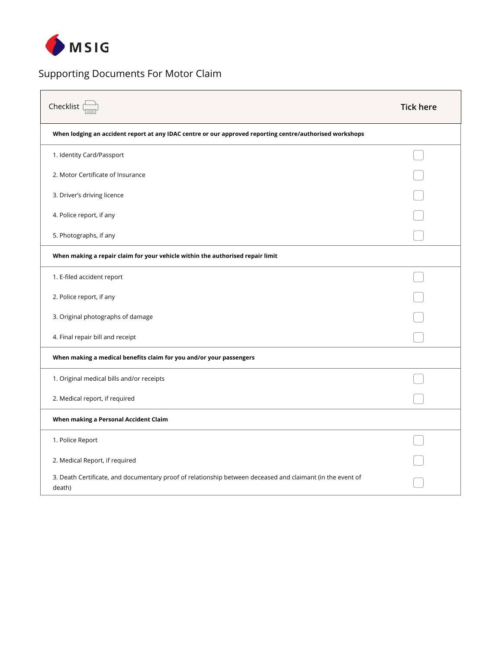

## Supporting Documents For Motor Claim

| Checklist                                                                                                            | <b>Tick here</b> |
|----------------------------------------------------------------------------------------------------------------------|------------------|
| When lodging an accident report at any IDAC centre or our approved reporting centre/authorised workshops             |                  |
| 1. Identity Card/Passport                                                                                            |                  |
| 2. Motor Certificate of Insurance                                                                                    |                  |
| 3. Driver's driving licence                                                                                          |                  |
| 4. Police report, if any                                                                                             |                  |
| 5. Photographs, if any                                                                                               |                  |
| When making a repair claim for your vehicle within the authorised repair limit                                       |                  |
| 1. E-filed accident report                                                                                           |                  |
| 2. Police report, if any                                                                                             |                  |
| 3. Original photographs of damage                                                                                    |                  |
| 4. Final repair bill and receipt                                                                                     |                  |
| When making a medical benefits claim for you and/or your passengers                                                  |                  |
| 1. Original medical bills and/or receipts                                                                            |                  |
| 2. Medical report, if required                                                                                       |                  |
| When making a Personal Accident Claim                                                                                |                  |
| 1. Police Report                                                                                                     |                  |
| 2. Medical Report, if required                                                                                       |                  |
| 3. Death Certificate, and documentary proof of relationship between deceased and claimant (in the event of<br>death) |                  |